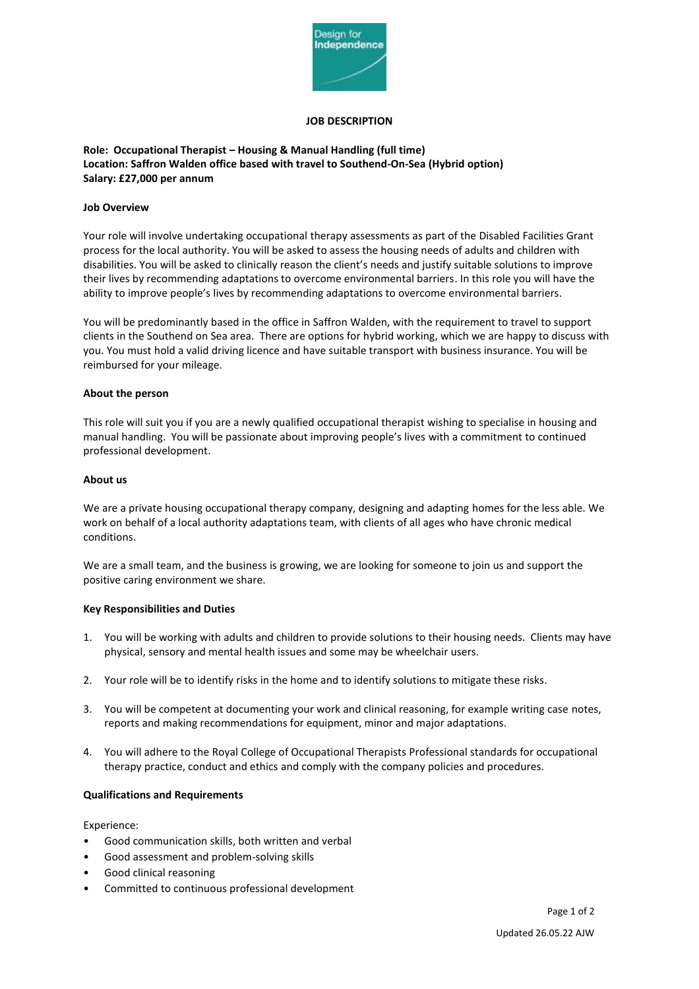

### **JOB DESCRIPTION**

# **Role: Occupational Therapist – Housing & Manual Handling (full time) Location: Saffron Walden office based with travel to Southend-On-Sea (Hybrid option) Salary: £27,000 per annum**

### **Job Overview**

Your role will involve undertaking occupational therapy assessments as part of the Disabled Facilities Grant process for the local authority. You will be asked to assess the housing needs of adults and children with disabilities. You will be asked to clinically reason the client's needs and justify suitable solutions to improve their lives by recommending adaptations to overcome environmental barriers. In this role you will have the ability to improve people's lives by recommending adaptations to overcome environmental barriers.

You will be predominantly based in the office in Saffron Walden, with the requirement to travel to support clients in the Southend on Sea area. There are options for hybrid working, which we are happy to discuss with you. You must hold a valid driving licence and have suitable transport with business insurance. You will be reimbursed for your mileage.

#### **About the person**

This role will suit you if you are a newly qualified occupational therapist wishing to specialise in housing and manual handling. You will be passionate about improving people's lives with a commitment to continued professional development.

### **About us**

We are a private housing occupational therapy company, designing and adapting homes for the less able. We work on behalf of a local authority adaptations team, with clients of all ages who have chronic medical conditions.

We are a small team, and the business is growing, we are looking for someone to join us and support the positive caring environment we share.

## **Key Responsibilities and Duties**

- 1. You will be working with adults and children to provide solutions to their housing needs. Clients may have physical, sensory and mental health issues and some may be wheelchair users.
- 2. Your role will be to identify risks in the home and to identify solutions to mitigate these risks.
- 3. You will be competent at documenting your work and clinical reasoning, for example writing case notes, reports and making recommendations for equipment, minor and major adaptations.
- 4. You will adhere to the Royal College of Occupational Therapists Professional standards for occupational therapy practice, conduct and ethics and comply with the company policies and procedures.

#### **Qualifications and Requirements**

Experience:

- Good communication skills, both written and verbal
- Good assessment and problem-solving skills
- Good clinical reasoning
- Committed to continuous professional development